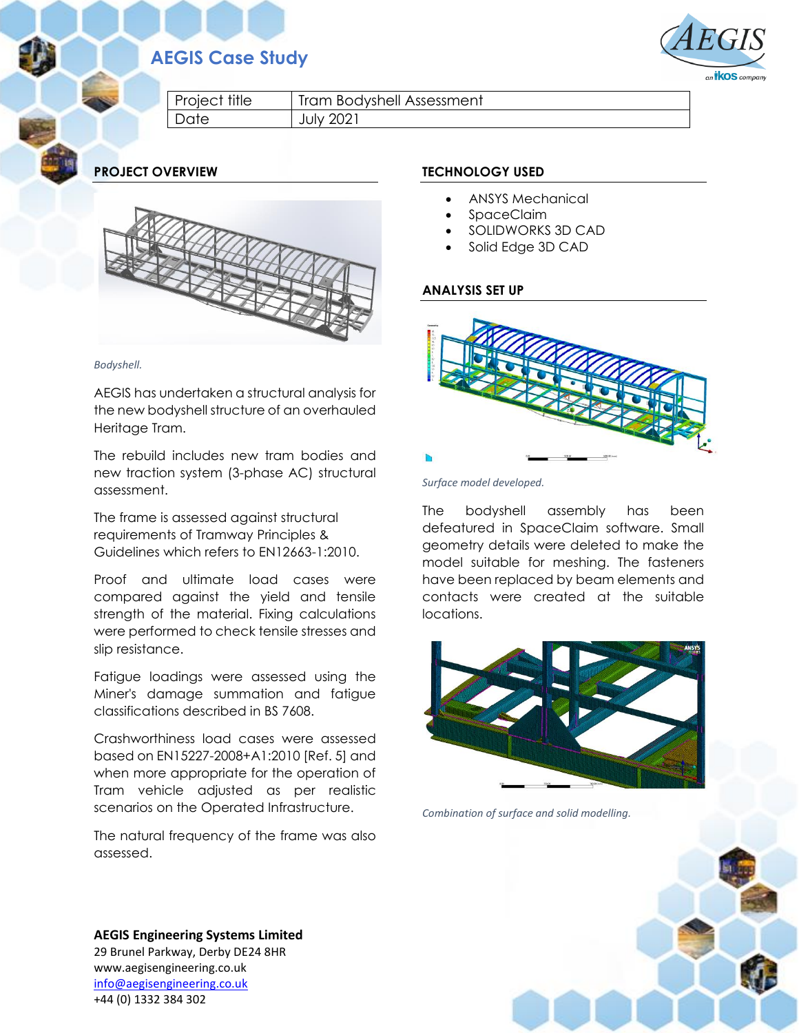# **AEGIS Case Study**



Project title | Tram Bodyshell Assessment Date July 2021

**PROJECT OVERVIEW**



*Bodyshell.*

AEGIS has undertaken a structural analysis for the new bodyshell structure of an overhauled Heritage Tram.

The rebuild includes new tram bodies and new traction system (3-phase AC) structural assessment.

The frame is assessed against structural requirements of Tramway Principles & Guidelines which refers to EN12663-1:2010.

Proof and ultimate load cases were compared against the yield and tensile strength of the material. Fixing calculations were performed to check tensile stresses and slip resistance.

Fatigue loadings were assessed using the Miner's damage summation and fatigue classifications described in BS 7608.

Crashworthiness load cases were assessed based on EN15227-2008+A1:2010 [Ref. 5] and when more appropriate for the operation of Tram vehicle adjusted as per realistic scenarios on the Operated Infrastructure.

The natural frequency of the frame was also assessed.

## **TECHNOLOGY USED**

- ANSYS Mechanical
- SpaceClaim
- SOLIDWORKS 3D CAD
- Solid Edge 3D CAD

## **ANALYSIS SET UP**



*Surface model developed.*

The bodyshell assembly has been defeatured in SpaceClaim software. Small geometry details were deleted to make the model suitable for meshing. The fasteners have been replaced by beam elements and contacts were created at the suitable locations.



*Combination of surface and solid modelling.*



**AEGIS Engineering Systems Limited** 29 Brunel Parkway, Derby DE24 8HR www.aegisengineering.co.uk [info@aegisengineering.co.uk](mailto:info@aegisengineering.co.uk) +44 (0) 1332 384 302